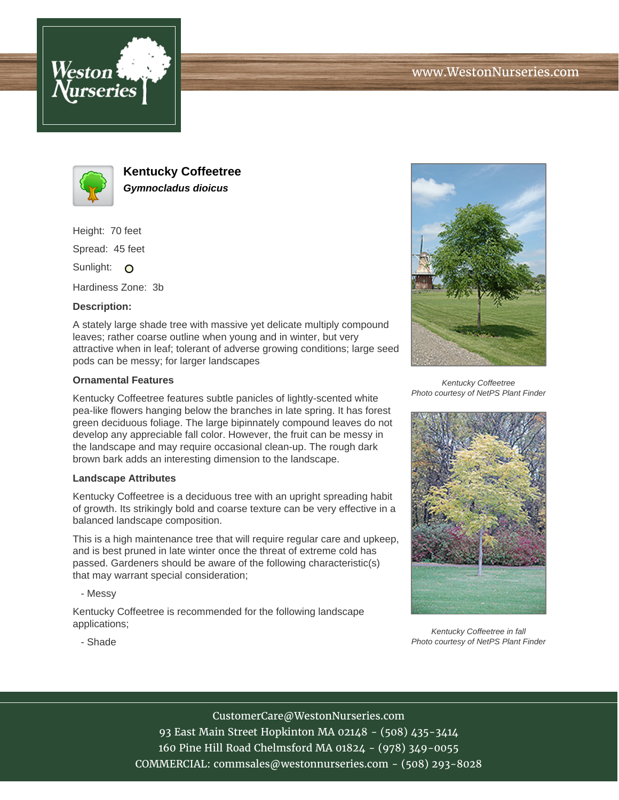



**Kentucky Coffeetree Gymnocladus dioicus**

Height: 70 feet

Spread: 45 feet

Sunlight: O

Hardiness Zone: 3b

## **Description:**

A stately large shade tree with massive yet delicate multiply compound leaves; rather coarse outline when young and in winter, but very attractive when in leaf; tolerant of adverse growing conditions; large seed pods can be messy; for larger landscapes

## **Ornamental Features**

Kentucky Coffeetree features subtle panicles of lightly-scented white pea-like flowers hanging below the branches in late spring. It has forest green deciduous foliage. The large bipinnately compound leaves do not develop any appreciable fall color. However, the fruit can be messy in the landscape and may require occasional clean-up. The rough dark brown bark adds an interesting dimension to the landscape.

## **Landscape Attributes**

Kentucky Coffeetree is a deciduous tree with an upright spreading habit of growth. Its strikingly bold and coarse texture can be very effective in a balanced landscape composition.

This is a high maintenance tree that will require regular care and upkeep, and is best pruned in late winter once the threat of extreme cold has passed. Gardeners should be aware of the following characteristic(s) that may warrant special consideration;

- Messy

Kentucky Coffeetree is recommended for the following landscape applications;



Kentucky Coffeetree Photo courtesy of NetPS Plant Finder



Kentucky Coffeetree in fall Photo courtesy of NetPS Plant Finder

- Shade

CustomerCare@WestonNurseries.com 93 East Main Street Hopkinton MA 02148 - (508) 435-3414 160 Pine Hill Road Chelmsford MA 01824 - (978) 349-0055 COMMERCIAL: commsales@westonnurseries.com - (508) 293-8028